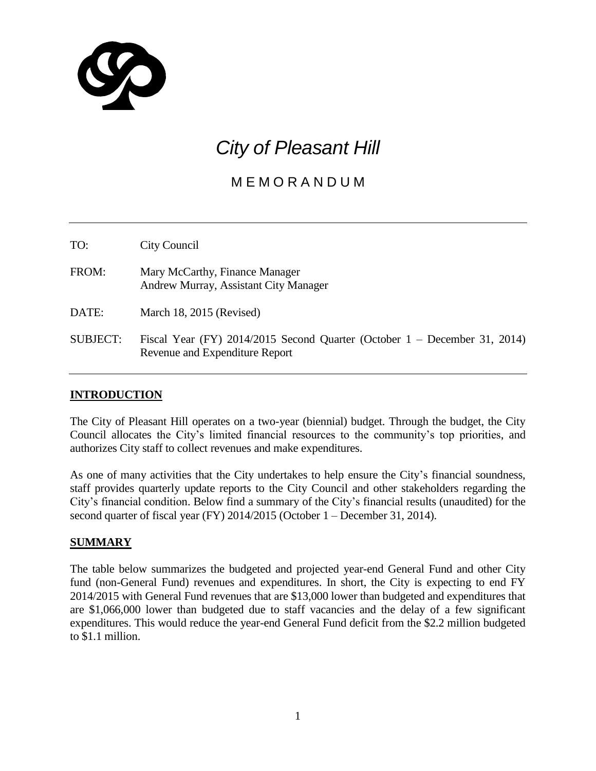

# *City of Pleasant Hill*

# M E M O R A N D U M

TO: City Council

FROM: Mary McCarthy, Finance Manager Andrew Murray, Assistant City Manager

DATE: March 18, 2015 (Revised)

SUBJECT: Fiscal Year (FY) 2014/2015 Second Quarter (October 1 – December 31, 2014) Revenue and Expenditure Report

# **INTRODUCTION**

The City of Pleasant Hill operates on a two-year (biennial) budget. Through the budget, the City Council allocates the City's limited financial resources to the community's top priorities, and authorizes City staff to collect revenues and make expenditures.

As one of many activities that the City undertakes to help ensure the City's financial soundness, staff provides quarterly update reports to the City Council and other stakeholders regarding the City's financial condition. Below find a summary of the City's financial results (unaudited) for the second quarter of fiscal year (FY) 2014/2015 (October 1 – December 31, 2014).

#### **SUMMARY**

The table below summarizes the budgeted and projected year-end General Fund and other City fund (non-General Fund) revenues and expenditures. In short, the City is expecting to end FY 2014/2015 with General Fund revenues that are \$13,000 lower than budgeted and expenditures that are \$1,066,000 lower than budgeted due to staff vacancies and the delay of a few significant expenditures. This would reduce the year-end General Fund deficit from the \$2.2 million budgeted to \$1.1 million.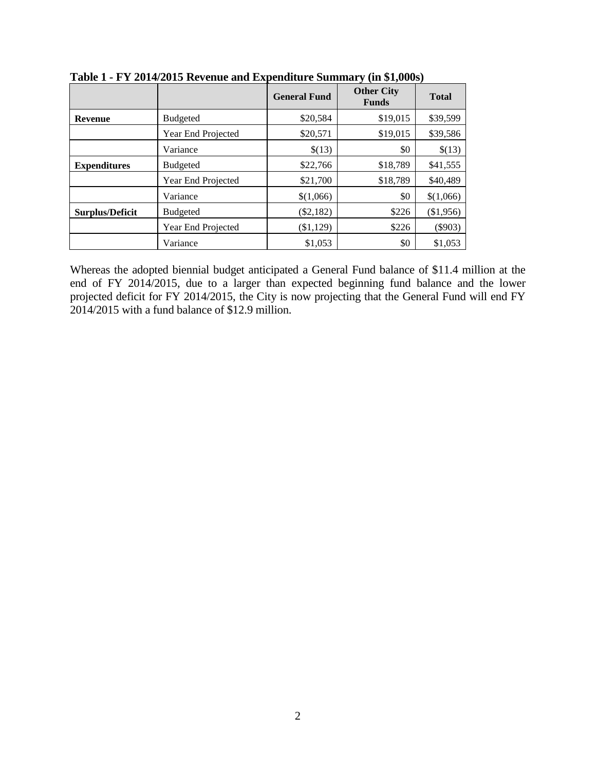|                        |                    | <b>General Fund</b> | <b>Other City</b><br><b>Funds</b> | <b>Total</b> |
|------------------------|--------------------|---------------------|-----------------------------------|--------------|
| <b>Revenue</b>         | <b>Budgeted</b>    | \$20,584            | \$19,015                          | \$39,599     |
|                        | Year End Projected | \$20,571            | \$19,015                          | \$39,586     |
|                        | Variance           | \$(13)              | \$0                               | \$(13)       |
| <b>Expenditures</b>    | <b>Budgeted</b>    | \$22,766            | \$18,789                          | \$41,555     |
|                        | Year End Projected | \$21,700            | \$18,789                          | \$40,489     |
|                        | Variance           | \$(1,066)           | \$0                               | \$(1,066)    |
| <b>Surplus/Deficit</b> | <b>Budgeted</b>    | $(\$2,182)$         | \$226                             | (\$1,956)    |
|                        | Year End Projected | (\$1,129)           | \$226                             | $(\$903)$    |
|                        | Variance           | \$1,053             | \$0                               | \$1,053      |

**Table 1 - FY 2014/2015 Revenue and Expenditure Summary (in \$1,000s)**

Whereas the adopted biennial budget anticipated a General Fund balance of \$11.4 million at the end of FY 2014/2015, due to a larger than expected beginning fund balance and the lower projected deficit for FY 2014/2015, the City is now projecting that the General Fund will end FY 2014/2015 with a fund balance of \$12.9 million.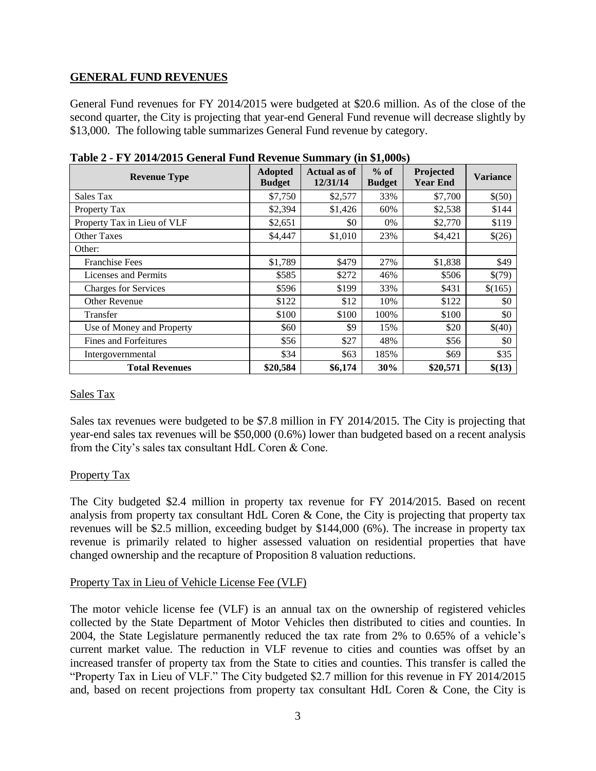# **GENERAL FUND REVENUES**

General Fund revenues for FY 2014/2015 were budgeted at \$20.6 million. As of the close of the second quarter, the City is projecting that year-end General Fund revenue will decrease slightly by \$13,000. The following table summarizes General Fund revenue by category.

| <b>Revenue Type</b>         | <b>Adopted</b><br><b>Budget</b> | <b>Actual as of</b><br>12/31/14 | $%$ of<br><b>Budget</b> | Projected<br><b>Year End</b> | <b>Variance</b> |
|-----------------------------|---------------------------------|---------------------------------|-------------------------|------------------------------|-----------------|
| Sales Tax                   | \$7,750                         | \$2,577                         | 33%                     | \$7,700                      | \$(50)          |
| Property Tax                | \$2,394                         | \$1,426                         | 60%                     | \$2,538                      | \$144           |
| Property Tax in Lieu of VLF | \$2,651                         | \$0                             | 0%                      | \$2,770                      | \$119           |
| Other Taxes                 | \$4,447                         | \$1,010                         | 23%                     | \$4,421                      | \$(26)          |
| Other:                      |                                 |                                 |                         |                              |                 |
| <b>Franchise Fees</b>       | \$1,789                         | \$479                           | 27%                     | \$1,838                      | \$49            |
| Licenses and Permits        | \$585                           | \$272                           | 46%                     | \$506                        | \$(79)          |
| <b>Charges for Services</b> | \$596                           | \$199                           | 33%                     | \$431                        | \$(165)         |
| <b>Other Revenue</b>        | \$122                           | \$12                            | 10%                     | \$122                        | \$0             |
| Transfer                    | \$100                           | \$100                           | 100%                    | \$100                        | \$0             |
| Use of Money and Property   | \$60                            | \$9                             | 15%                     | \$20                         | \$(40)          |
| Fines and Forfeitures       | \$56                            | \$27                            | 48%                     | \$56                         | \$0             |
| Intergovernmental           | \$34                            | \$63                            | 185%                    | \$69                         | \$35            |
| <b>Total Revenues</b>       | \$20,584                        | \$6,174                         | 30%                     | \$20,571                     | \$(13)          |

**Table 2 - FY 2014/2015 General Fund Revenue Summary (in \$1,000s)**

#### Sales Tax

Sales tax revenues were budgeted to be \$7.8 million in FY 2014/2015. The City is projecting that year-end sales tax revenues will be \$50,000 (0.6%) lower than budgeted based on a recent analysis from the City's sales tax consultant HdL Coren & Cone.

#### Property Tax

The City budgeted \$2.4 million in property tax revenue for FY 2014/2015. Based on recent analysis from property tax consultant HdL Coren & Cone, the City is projecting that property tax revenues will be \$2.5 million, exceeding budget by \$144,000 (6%). The increase in property tax revenue is primarily related to higher assessed valuation on residential properties that have changed ownership and the recapture of Proposition 8 valuation reductions.

#### Property Tax in Lieu of Vehicle License Fee (VLF)

The motor vehicle license fee (VLF) is an annual tax on the ownership of registered vehicles collected by the State Department of Motor Vehicles then distributed to cities and counties. In 2004, the State Legislature permanently reduced the tax rate from 2% to 0.65% of a vehicle's current market value. The reduction in VLF revenue to cities and counties was offset by an increased transfer of property tax from the State to cities and counties. This transfer is called the "Property Tax in Lieu of VLF." The City budgeted \$2.7 million for this revenue in FY 2014/2015 and, based on recent projections from property tax consultant HdL Coren & Cone, the City is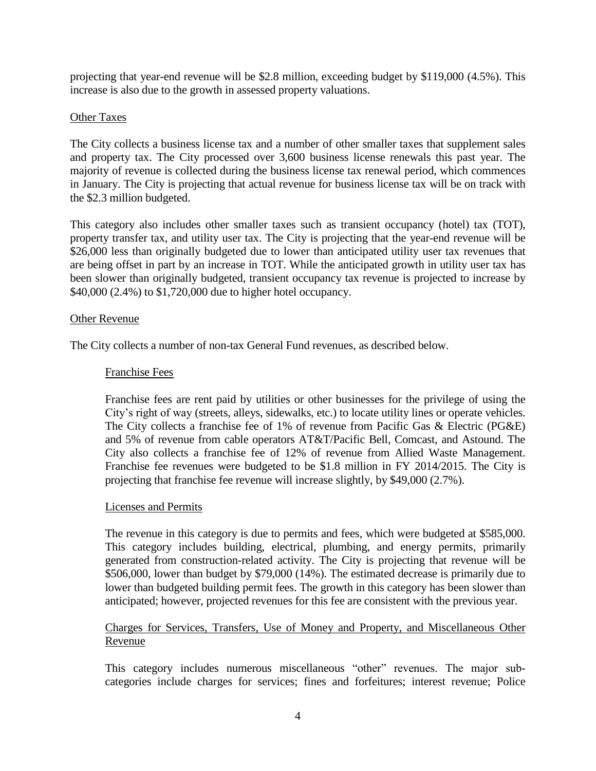projecting that year-end revenue will be \$2.8 million, exceeding budget by \$119,000 (4.5%). This increase is also due to the growth in assessed property valuations.

# Other Taxes

The City collects a business license tax and a number of other smaller taxes that supplement sales and property tax. The City processed over 3,600 business license renewals this past year. The majority of revenue is collected during the business license tax renewal period, which commences in January. The City is projecting that actual revenue for business license tax will be on track with the \$2.3 million budgeted.

This category also includes other smaller taxes such as transient occupancy (hotel) tax (TOT), property transfer tax, and utility user tax. The City is projecting that the year-end revenue will be \$26,000 less than originally budgeted due to lower than anticipated utility user tax revenues that are being offset in part by an increase in TOT. While the anticipated growth in utility user tax has been slower than originally budgeted, transient occupancy tax revenue is projected to increase by \$40,000 (2.4%) to \$1,720,000 due to higher hotel occupancy.

#### Other Revenue

The City collects a number of non-tax General Fund revenues, as described below.

#### Franchise Fees

Franchise fees are rent paid by utilities or other businesses for the privilege of using the City's right of way (streets, alleys, sidewalks, etc.) to locate utility lines or operate vehicles. The City collects a franchise fee of 1% of revenue from Pacific Gas & Electric (PG&E) and 5% of revenue from cable operators AT&T/Pacific Bell, Comcast, and Astound. The City also collects a franchise fee of 12% of revenue from Allied Waste Management. Franchise fee revenues were budgeted to be \$1.8 million in FY 2014/2015. The City is projecting that franchise fee revenue will increase slightly, by \$49,000 (2.7%).

#### Licenses and Permits

The revenue in this category is due to permits and fees, which were budgeted at \$585,000. This category includes building, electrical, plumbing, and energy permits, primarily generated from construction-related activity. The City is projecting that revenue will be \$506,000, lower than budget by \$79,000 (14%). The estimated decrease is primarily due to lower than budgeted building permit fees. The growth in this category has been slower than anticipated; however, projected revenues for this fee are consistent with the previous year.

# Charges for Services, Transfers, Use of Money and Property, and Miscellaneous Other Revenue

This category includes numerous miscellaneous "other" revenues. The major subcategories include charges for services; fines and forfeitures; interest revenue; Police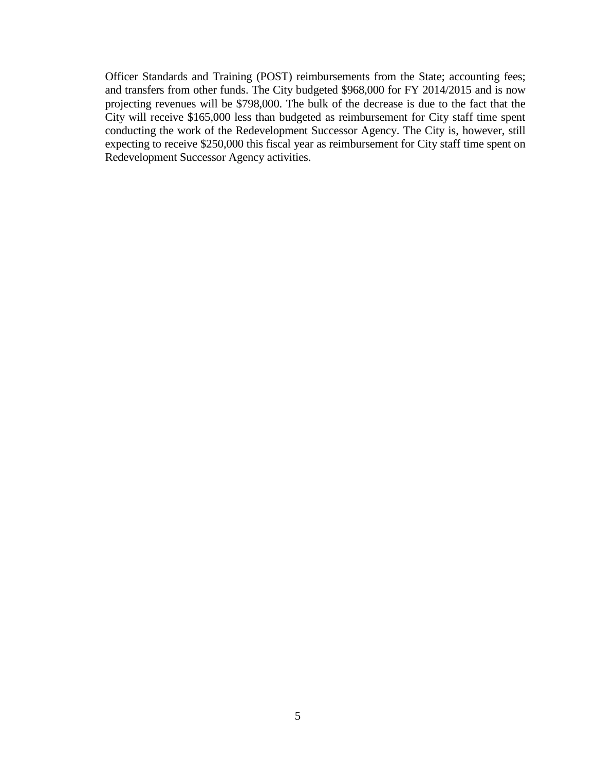Officer Standards and Training (POST) reimbursements from the State; accounting fees; and transfers from other funds. The City budgeted \$968,000 for FY 2014/2015 and is now projecting revenues will be \$798,000. The bulk of the decrease is due to the fact that the City will receive \$165,000 less than budgeted as reimbursement for City staff time spent conducting the work of the Redevelopment Successor Agency. The City is, however, still expecting to receive \$250,000 this fiscal year as reimbursement for City staff time spent on Redevelopment Successor Agency activities.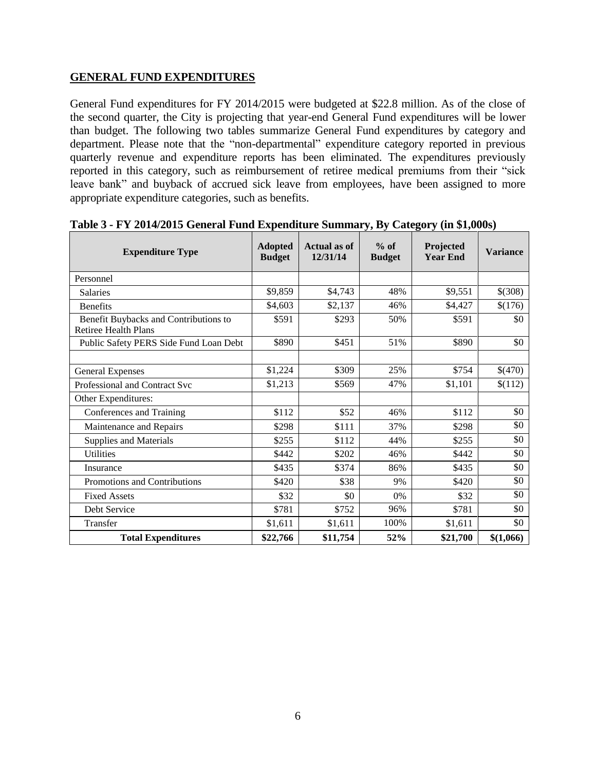# **GENERAL FUND EXPENDITURES**

General Fund expenditures for FY 2014/2015 were budgeted at \$22.8 million. As of the close of the second quarter, the City is projecting that year-end General Fund expenditures will be lower than budget. The following two tables summarize General Fund expenditures by category and department. Please note that the "non-departmental" expenditure category reported in previous quarterly revenue and expenditure reports has been eliminated. The expenditures previously reported in this category, such as reimbursement of retiree medical premiums from their "sick leave bank" and buyback of accrued sick leave from employees, have been assigned to more appropriate expenditure categories, such as benefits.

| <b>Expenditure Type</b>                                              | <b>Adopted</b><br><b>Budget</b> | <b>Actual as of</b><br>12/31/14 | $%$ of<br><b>Budget</b> | Projected<br><b>Year End</b> | <b>Variance</b> |
|----------------------------------------------------------------------|---------------------------------|---------------------------------|-------------------------|------------------------------|-----------------|
| Personnel                                                            |                                 |                                 |                         |                              |                 |
| <b>Salaries</b>                                                      | \$9,859                         | \$4,743                         | 48%                     | \$9,551                      | \$(308)         |
| <b>Benefits</b>                                                      | \$4,603                         | \$2,137                         | 46%                     | \$4,427                      | \$(176)         |
| Benefit Buybacks and Contributions to<br><b>Retiree Health Plans</b> | \$591                           | \$293                           | 50%                     | \$591                        | \$0             |
| Public Safety PERS Side Fund Loan Debt                               | \$890                           | \$451                           | 51%                     | \$890                        | \$0             |
|                                                                      |                                 |                                 |                         |                              |                 |
| <b>General Expenses</b>                                              | \$1,224                         | \$309                           | 25%                     | \$754                        | \$(470)         |
| Professional and Contract Svc                                        | \$1,213                         | \$569                           | 47%                     | \$1,101                      | \$(112)         |
| Other Expenditures:                                                  |                                 |                                 |                         |                              |                 |
| Conferences and Training                                             | \$112                           | \$52                            | 46%                     | \$112                        | \$0             |
| Maintenance and Repairs                                              | \$298                           | \$111                           | 37%                     | \$298                        | \$0             |
| Supplies and Materials                                               | \$255                           | \$112                           | 44%                     | \$255                        | \$0             |
| <b>Utilities</b>                                                     | \$442                           | \$202                           | 46%                     | \$442                        | \$0             |
| Insurance                                                            | \$435                           | \$374                           | 86%                     | \$435                        | \$0             |
| Promotions and Contributions                                         | \$420                           | \$38                            | 9%                      | \$420                        | \$0             |
| <b>Fixed Assets</b>                                                  | \$32                            | \$0                             | 0%                      | \$32                         | \$0             |
| Debt Service                                                         | \$781                           | \$752                           | 96%                     | \$781                        | \$0             |
| Transfer                                                             | \$1,611                         | \$1,611                         | 100%                    | \$1,611                      | \$0             |
| <b>Total Expenditures</b>                                            | \$22,766                        | \$11,754                        | 52%                     | \$21,700                     | \$(1,066)       |

**Table 3 - FY 2014/2015 General Fund Expenditure Summary, By Category (in \$1,000s)**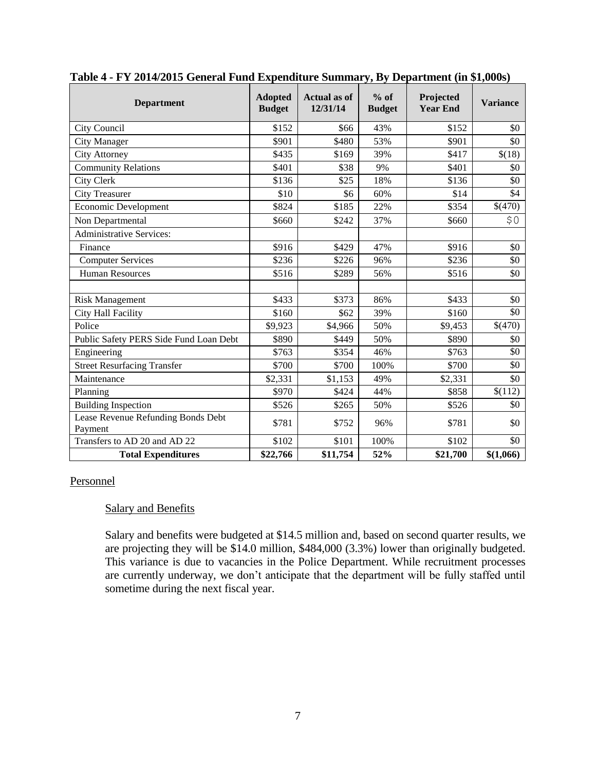| <b>Department</b>                             | <b>Adopted</b><br><b>Budget</b> | <b>Actual as of</b><br>12/31/14 | $%$ of<br><b>Budget</b> | Projected<br><b>Year End</b> | <b>Variance</b> |
|-----------------------------------------------|---------------------------------|---------------------------------|-------------------------|------------------------------|-----------------|
| City Council                                  | \$152                           | \$66                            | 43%                     | \$152                        | \$0             |
| <b>City Manager</b>                           | \$901                           | \$480                           | 53%                     | \$901                        | \$0             |
| <b>City Attorney</b>                          | \$435                           | \$169                           | 39%                     | \$417                        | \$(18)          |
| <b>Community Relations</b>                    | \$401                           | \$38                            | 9%                      | \$401                        | \$0             |
| <b>City Clerk</b>                             | \$136                           | \$25                            | 18%                     | \$136                        | \$0             |
| <b>City Treasurer</b>                         | \$10                            | \$6                             | 60%                     | \$14                         | \$4             |
| Economic Development                          | \$824                           | \$185                           | 22%                     | \$354                        | \$(470)         |
| Non Departmental                              | \$660                           | \$242                           | 37%                     | \$660                        | \$0             |
| <b>Administrative Services:</b>               |                                 |                                 |                         |                              |                 |
| Finance                                       | \$916                           | \$429                           | 47%                     | \$916                        | \$0             |
| <b>Computer Services</b>                      | \$236                           | \$226                           | 96%                     | \$236                        | \$0             |
| <b>Human Resources</b>                        | \$516                           | \$289                           | 56%                     | \$516                        | \$0             |
|                                               |                                 |                                 |                         |                              |                 |
| <b>Risk Management</b>                        | \$433                           | \$373                           | 86%                     | \$433                        | \$0             |
| City Hall Facility                            | \$160                           | \$62                            | 39%                     | \$160                        | \$0             |
| Police                                        | \$9,923                         | \$4,966                         | 50%                     | \$9,453                      | \$(470)         |
| Public Safety PERS Side Fund Loan Debt        | \$890                           | \$449                           | 50%                     | \$890                        | \$0             |
| Engineering                                   | \$763                           | \$354                           | 46%                     | \$763                        | \$0             |
| <b>Street Resurfacing Transfer</b>            | \$700                           | \$700                           | 100%                    | \$700                        | \$0             |
| Maintenance                                   | \$2,331                         | \$1,153                         | 49%                     | \$2,331                      | \$0             |
| Planning                                      | \$970                           | \$424                           | 44%                     | \$858                        | \$(112)         |
| <b>Building Inspection</b>                    | \$526                           | \$265                           | 50%                     | \$526                        | \$0             |
| Lease Revenue Refunding Bonds Debt<br>Payment | \$781                           | \$752                           | 96%                     | \$781                        | \$0             |
| Transfers to AD 20 and AD 22                  | \$102                           | \$101                           | 100%                    | \$102                        | \$0             |
| <b>Total Expenditures</b>                     | \$22,766                        | \$11,754                        | 52%                     | \$21,700                     | \$(1,066)       |

#### **Table 4 - FY 2014/2015 General Fund Expenditure Summary, By Department (in \$1,000s)**

#### Personnel

#### Salary and Benefits

Salary and benefits were budgeted at \$14.5 million and, based on second quarter results, we are projecting they will be \$14.0 million, \$484,000 (3.3%) lower than originally budgeted. This variance is due to vacancies in the Police Department. While recruitment processes are currently underway, we don't anticipate that the department will be fully staffed until sometime during the next fiscal year.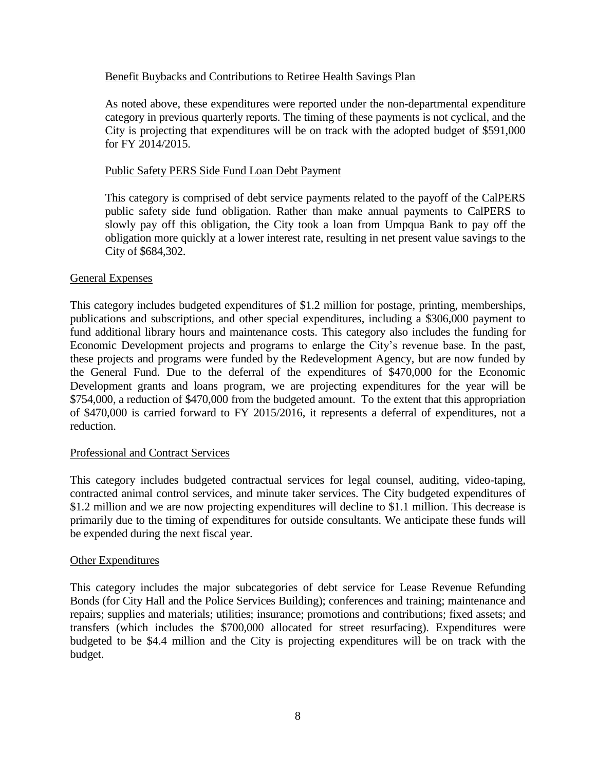#### Benefit Buybacks and Contributions to Retiree Health Savings Plan

As noted above, these expenditures were reported under the non-departmental expenditure category in previous quarterly reports. The timing of these payments is not cyclical, and the City is projecting that expenditures will be on track with the adopted budget of \$591,000 for FY 2014/2015.

#### Public Safety PERS Side Fund Loan Debt Payment

This category is comprised of debt service payments related to the payoff of the CalPERS public safety side fund obligation. Rather than make annual payments to CalPERS to slowly pay off this obligation, the City took a loan from Umpqua Bank to pay off the obligation more quickly at a lower interest rate, resulting in net present value savings to the City of \$684,302.

#### General Expenses

This category includes budgeted expenditures of \$1.2 million for postage, printing, memberships, publications and subscriptions, and other special expenditures, including a \$306,000 payment to fund additional library hours and maintenance costs. This category also includes the funding for Economic Development projects and programs to enlarge the City's revenue base. In the past, these projects and programs were funded by the Redevelopment Agency, but are now funded by the General Fund. Due to the deferral of the expenditures of \$470,000 for the Economic Development grants and loans program, we are projecting expenditures for the year will be \$754,000, a reduction of \$470,000 from the budgeted amount. To the extent that this appropriation of \$470,000 is carried forward to FY 2015/2016, it represents a deferral of expenditures, not a reduction.

#### Professional and Contract Services

This category includes budgeted contractual services for legal counsel, auditing, video-taping, contracted animal control services, and minute taker services. The City budgeted expenditures of \$1.2 million and we are now projecting expenditures will decline to \$1.1 million. This decrease is primarily due to the timing of expenditures for outside consultants. We anticipate these funds will be expended during the next fiscal year.

#### Other Expenditures

This category includes the major subcategories of debt service for Lease Revenue Refunding Bonds (for City Hall and the Police Services Building); conferences and training; maintenance and repairs; supplies and materials; utilities; insurance; promotions and contributions; fixed assets; and transfers (which includes the \$700,000 allocated for street resurfacing). Expenditures were budgeted to be \$4.4 million and the City is projecting expenditures will be on track with the budget.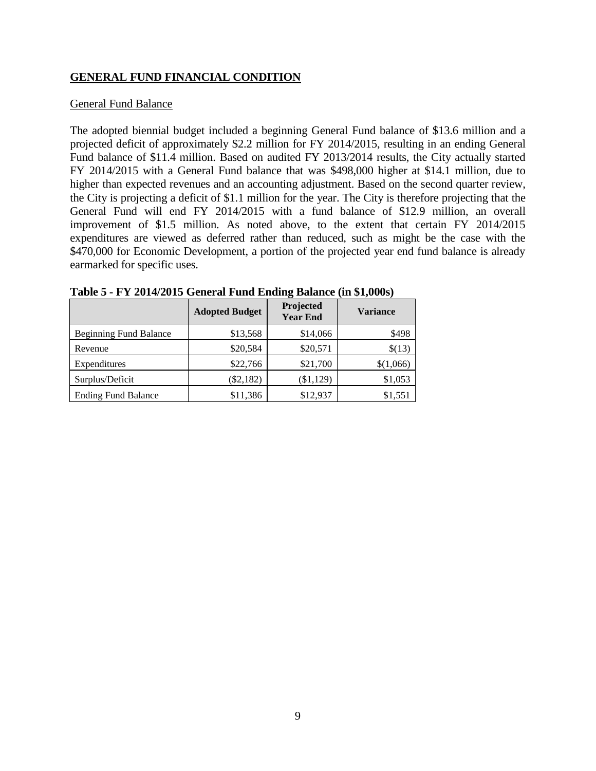# **GENERAL FUND FINANCIAL CONDITION**

#### General Fund Balance

The adopted biennial budget included a beginning General Fund balance of \$13.6 million and a projected deficit of approximately \$2.2 million for FY 2014/2015, resulting in an ending General Fund balance of \$11.4 million. Based on audited FY 2013/2014 results, the City actually started FY 2014/2015 with a General Fund balance that was \$498,000 higher at \$14.1 million, due to higher than expected revenues and an accounting adjustment. Based on the second quarter review, the City is projecting a deficit of \$1.1 million for the year. The City is therefore projecting that the General Fund will end FY 2014/2015 with a fund balance of \$12.9 million, an overall improvement of \$1.5 million. As noted above, to the extent that certain FY 2014/2015 expenditures are viewed as deferred rather than reduced, such as might be the case with the \$470,000 for Economic Development, a portion of the projected year end fund balance is already earmarked for specific uses.

|                               | <b>Adopted Budget</b> | Projected<br><b>Year End</b> | <b>Variance</b> |
|-------------------------------|-----------------------|------------------------------|-----------------|
| <b>Beginning Fund Balance</b> | \$13,568              | \$14,066                     | \$498           |
| Revenue                       | \$20,584              | \$20,571                     | \$(13)          |
| Expenditures                  | \$22,766              | \$21,700                     | \$(1,066)       |
| Surplus/Deficit               | $(\$2,182)$           | (\$1,129)                    | \$1,053         |
| <b>Ending Fund Balance</b>    | \$11,386              | \$12,937                     | \$1,551         |

| Table 5 - FY 2014/2015 General Fund Ending Balance (in \$1,000s) |
|------------------------------------------------------------------|
|------------------------------------------------------------------|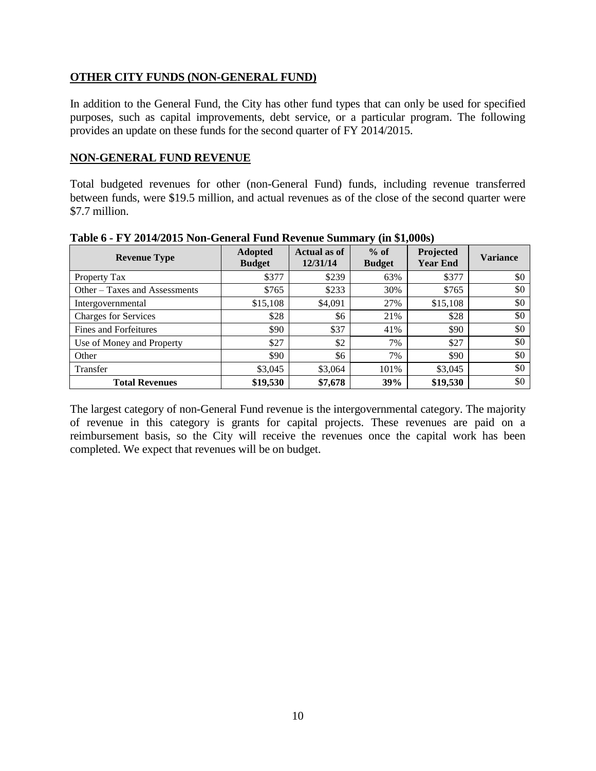# **OTHER CITY FUNDS (NON-GENERAL FUND)**

In addition to the General Fund, the City has other fund types that can only be used for specified purposes, such as capital improvements, debt service, or a particular program. The following provides an update on these funds for the second quarter of FY 2014/2015.

#### **NON-GENERAL FUND REVENUE**

Total budgeted revenues for other (non-General Fund) funds, including revenue transferred between funds, were \$19.5 million, and actual revenues as of the close of the second quarter were \$7.7 million.

| <b>Revenue Type</b>           | <b>Adopted</b><br><b>Budget</b> | <b>Actual as of</b><br>12/31/14 | $%$ of<br><b>Budget</b> | Projected<br><b>Year End</b> | <b>Variance</b> |
|-------------------------------|---------------------------------|---------------------------------|-------------------------|------------------------------|-----------------|
| Property Tax                  | \$377                           | \$239                           | 63%                     | \$377                        | \$0             |
| Other – Taxes and Assessments | \$765                           | \$233                           | 30%                     | \$765                        | \$0             |
| Intergovernmental             | \$15,108                        | \$4,091                         | 27%                     | \$15,108                     | \$0             |
| <b>Charges for Services</b>   | \$28                            | \$6                             | 21%                     | \$28                         | \$0             |
| <b>Fines and Forfeitures</b>  | \$90                            | \$37                            | 41%                     | \$90                         | \$0             |
| Use of Money and Property     | \$27                            | \$2                             | 7%                      | \$27                         | \$0             |
| Other                         | \$90                            | \$6                             | 7%                      | \$90                         | \$0             |
| Transfer                      | \$3,045                         | \$3,064                         | 101%                    | \$3,045                      | \$0             |
| <b>Total Revenues</b>         | \$19,530                        | \$7,678                         | 39%                     | \$19,530                     | \$0             |

**Table 6 - FY 2014/2015 Non-General Fund Revenue Summary (in \$1,000s)**

The largest category of non-General Fund revenue is the intergovernmental category. The majority of revenue in this category is grants for capital projects. These revenues are paid on a reimbursement basis, so the City will receive the revenues once the capital work has been completed. We expect that revenues will be on budget.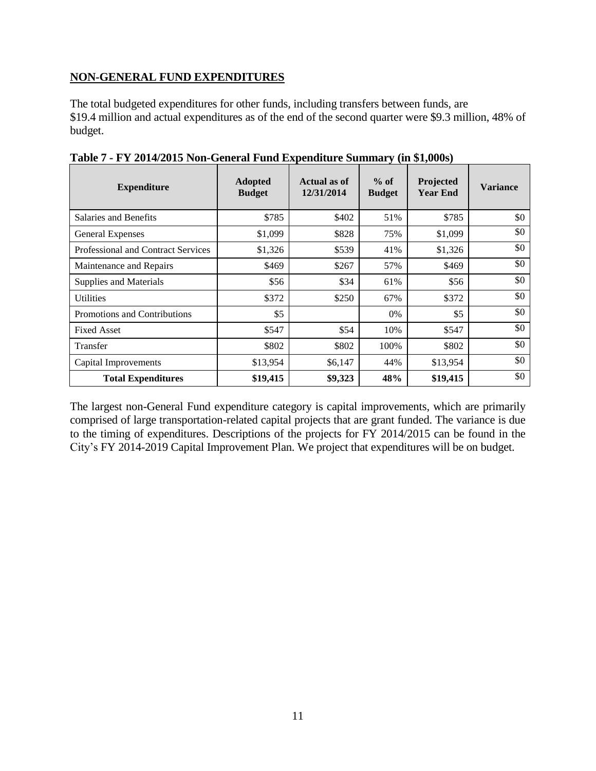# **NON-GENERAL FUND EXPENDITURES**

The total budgeted expenditures for other funds, including transfers between funds, are \$19.4 million and actual expenditures as of the end of the second quarter were \$9.3 million, 48% of budget.

| <b>Expenditure</b>                        | <b>Adopted</b><br><b>Budget</b> | Actual as of<br>12/31/2014 | $%$ of<br><b>Budget</b> | Projected<br><b>Year End</b> | <b>Variance</b> |
|-------------------------------------------|---------------------------------|----------------------------|-------------------------|------------------------------|-----------------|
| Salaries and Benefits                     | \$785                           | \$402                      | 51%                     | \$785                        | \$0             |
| General Expenses                          | \$1,099                         | \$828                      | 75%                     | \$1,099                      | \$0             |
| <b>Professional and Contract Services</b> | \$1,326                         | \$539                      | 41%                     | \$1,326                      | \$0             |
| Maintenance and Repairs                   | \$469                           | \$267                      | 57%                     | \$469                        | \$0             |
| Supplies and Materials                    | \$56                            | \$34                       | 61%                     | \$56                         | \$0             |
| <b>Utilities</b>                          | \$372                           | \$250                      | 67%                     | \$372                        | \$0             |
| Promotions and Contributions              | \$5                             |                            | $0\%$                   | \$5                          | \$0             |
| <b>Fixed Asset</b>                        | \$547                           | \$54                       | 10%                     | \$547                        | \$0             |
| Transfer                                  | \$802                           | \$802                      | 100%                    | \$802                        | \$0             |
| Capital Improvements                      | \$13,954                        | \$6,147                    | 44%                     | \$13,954                     | \$0             |
| <b>Total Expenditures</b>                 | \$19,415                        | \$9,323                    | 48%                     | \$19,415                     | \$0             |

**Table 7 - FY 2014/2015 Non-General Fund Expenditure Summary (in \$1,000s)**

The largest non-General Fund expenditure category is capital improvements, which are primarily comprised of large transportation-related capital projects that are grant funded. The variance is due to the timing of expenditures. Descriptions of the projects for FY 2014/2015 can be found in the City's FY 2014-2019 Capital Improvement Plan. We project that expenditures will be on budget.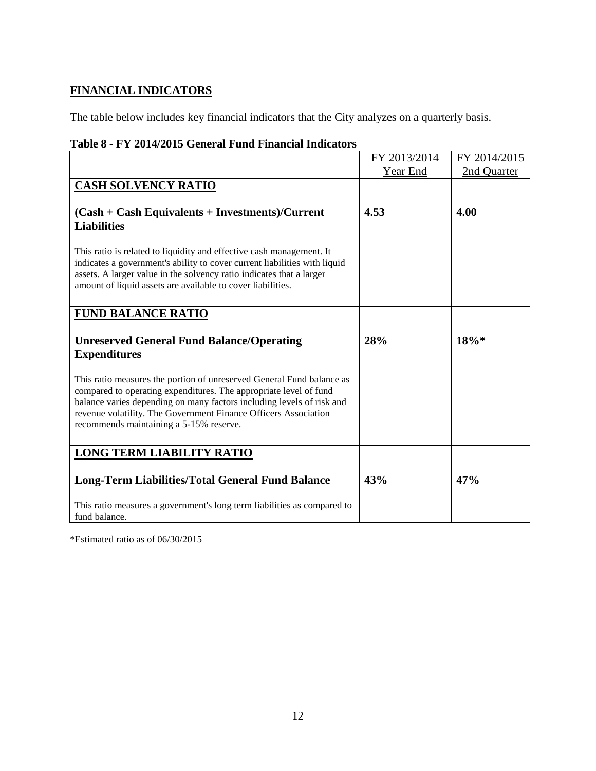# **FINANCIAL INDICATORS**

The table below includes key financial indicators that the City analyzes on a quarterly basis.

# **Table 8 - FY 2014/2015 General Fund Financial Indicators**

|                                                                                                                                                                                                                                                                                                                                   | FY 2013/2014 | FY 2014/2015 |
|-----------------------------------------------------------------------------------------------------------------------------------------------------------------------------------------------------------------------------------------------------------------------------------------------------------------------------------|--------------|--------------|
|                                                                                                                                                                                                                                                                                                                                   | Year End     | 2nd Quarter  |
| <b>CASH SOLVENCY RATIO</b>                                                                                                                                                                                                                                                                                                        |              |              |
| $(Cash + Cash$ Equivalents + Investments)/Current<br><b>Liabilities</b>                                                                                                                                                                                                                                                           | 4.53         | 4.00         |
| This ratio is related to liquidity and effective cash management. It<br>indicates a government's ability to cover current liabilities with liquid<br>assets. A larger value in the solvency ratio indicates that a larger<br>amount of liquid assets are available to cover liabilities.                                          |              |              |
| <b>FUND BALANCE RATIO</b>                                                                                                                                                                                                                                                                                                         |              |              |
| <b>Unreserved General Fund Balance/Operating</b><br><b>Expenditures</b>                                                                                                                                                                                                                                                           | 28%          | $18\%*$      |
| This ratio measures the portion of unreserved General Fund balance as<br>compared to operating expenditures. The appropriate level of fund<br>balance varies depending on many factors including levels of risk and<br>revenue volatility. The Government Finance Officers Association<br>recommends maintaining a 5-15% reserve. |              |              |
| <b>LONG TERM LIABILITY RATIO</b>                                                                                                                                                                                                                                                                                                  |              |              |
| <b>Long-Term Liabilities/Total General Fund Balance</b>                                                                                                                                                                                                                                                                           | 43%          | 47%          |
| This ratio measures a government's long term liabilities as compared to<br>fund balance.                                                                                                                                                                                                                                          |              |              |

\*Estimated ratio as of 06/30/2015